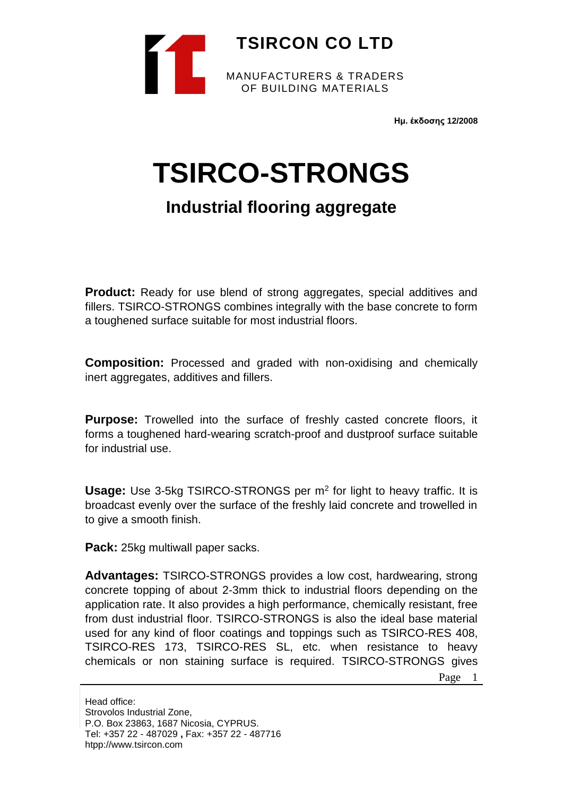

**Ημ. έκδοσης 12/2008**

# **TSIRCO-STRONGS**

## **Industrial flooring aggregate**

**Product:** Ready for use blend of strong aggregates, special additives and fillers. TSIRCO-STRONGS combines integrally with the base concrete to form a toughened surface suitable for most industrial floors.

**Composition:** Processed and graded with non-oxidising and chemically inert aggregates, additives and fillers.

**Purpose:** Trowelled into the surface of freshly casted concrete floors, it forms a toughened hard-wearing scratch-proof and dustproof surface suitable for industrial use.

**Usage:** Use 3-5kg TSIRCO-STRONGS per m<sup>2</sup> for light to heavy traffic. It is broadcast evenly over the surface of the freshly laid concrete and trowelled in to give a smooth finish.

**Pack:** 25kg multiwall paper sacks.

**Advantages:** TSIRCO-STRONGS provides a low cost, hardwearing, strong concrete topping of about 2-3mm thick to industrial floors depending on the application rate. It also provides a high performance, chemically resistant, free from dust industrial floor. TSIRCO-STRONGS is also the ideal base material used for any kind of floor coatings and toppings such as TSIRCO-RES 408, TSIRCO-RES 173, TSIRCO-RES SL, etc. when resistance to heavy chemicals or non staining surface is required. TSIRCO-STRONGS gives

Page 1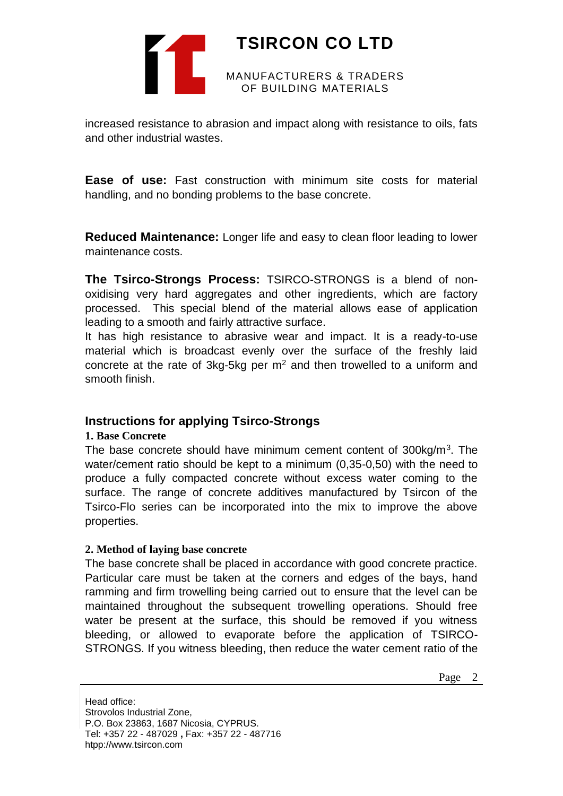

## **TSIRCON CO LTD**

MANUFACTURERS & TRADERS OF BUILDING MATERIALS

increased resistance to abrasion and impact along with resistance to oils, fats and other industrial wastes.

**Ease of use:** Fast construction with minimum site costs for material handling, and no bonding problems to the base concrete.

**Reduced Maintenance:** Longer life and easy to clean floor leading to lower maintenance costs.

**The Tsirco-Strongs Process:** TSIRCO-STRONGS is a blend of nonoxidising very hard aggregates and other ingredients, which are factory processed. This special blend of the material allows ease of application leading to a smooth and fairly attractive surface.

It has high resistance to abrasive wear and impact. It is a ready-to-use material which is broadcast evenly over the surface of the freshly laid concrete at the rate of 3kg-5kg per  $m<sup>2</sup>$  and then trowelled to a uniform and smooth finish.

## **Instructions for applying Tsirco-Strongs**

#### **1. Base Concrete**

The base concrete should have minimum cement content of 300kg/m<sup>3</sup>. The water/cement ratio should be kept to a minimum (0,35-0,50) with the need to produce a fully compacted concrete without excess water coming to the surface. The range of concrete additives manufactured by Tsircon of the Tsirco-Flo series can be incorporated into the mix to improve the above properties.

#### **2. Method of laying base concrete**

The base concrete shall be placed in accordance with good concrete practice. Particular care must be taken at the corners and edges of the bays, hand ramming and firm trowelling being carried out to ensure that the level can be maintained throughout the subsequent trowelling operations. Should free water be present at the surface, this should be removed if you witness bleeding, or allowed to evaporate before the application of TSIRCO-STRONGS. If you witness bleeding, then reduce the water cement ratio of the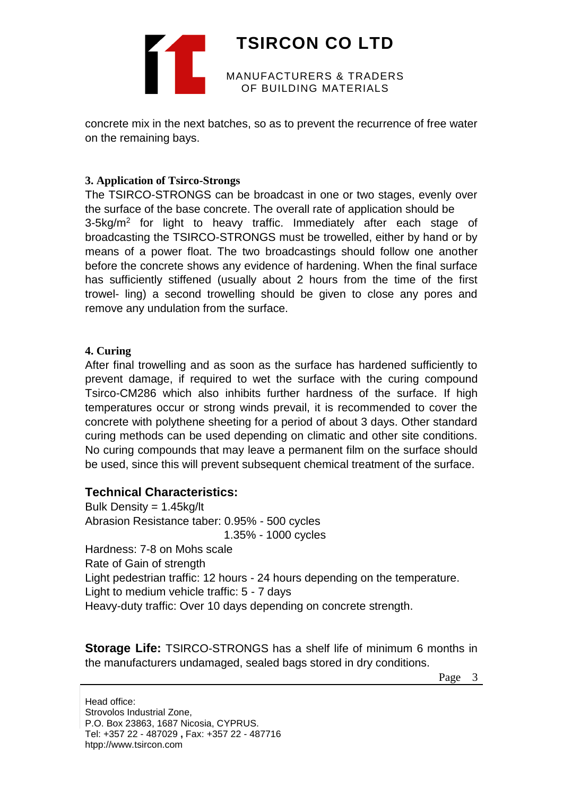

# **TSIRCON CO LTD**

MANUFACTURERS & TRADERS OF BUILDING MATERIALS

concrete mix in the next batches, so as to prevent the recurrence of free water on the remaining bays.

#### **3. Application of Tsirco-Strongs**

The TSIRCO-STRONGS can be broadcast in one or two stages, evenly over the surface of the base concrete. The overall rate of application should be 3-5kg/m<sup>2</sup> for light to heavy traffic. Immediately after each stage of broadcasting the TSIRCO-STRONGS must be trowelled, either by hand or by means of a power float. The two broadcastings should follow one another before the concrete shows any evidence of hardening. When the final surface has sufficiently stiffened (usually about 2 hours from the time of the first trowel- ling) a second trowelling should be given to close any pores and remove any undulation from the surface.

#### **4. Curing**

After final trowelling and as soon as the surface has hardened sufficiently to prevent damage, if required to wet the surface with the curing compound Tsirco-CM286 which also inhibits further hardness of the surface. If high temperatures occur or strong winds prevail, it is recommended to cover the concrete with polythene sheeting for a period of about 3 days. Other standard curing methods can be used depending on climatic and other site conditions. No curing compounds that may leave a permanent film on the surface should be used, since this will prevent subsequent chemical treatment of the surface.

## **Technical Characteristics:**

Bulk Density = 1.45kg/lt Abrasion Resistance taber: 0.95% - 500 cycles 1.35% - 1000 cycles Hardness: 7-8 on Mohs scale Rate of Gain of strength Light pedestrian traffic: 12 hours - 24 hours depending on the temperature. Light to medium vehicle traffic: 5 - 7 days Heavy-duty traffic: Over 10 days depending on concrete strength.

**Storage Life:** TSIRCO-STRONGS has a shelf life of minimum 6 months in the manufacturers undamaged, sealed bags stored in dry conditions.

Page 3

Head office: Strovolos Industrial Zone, P.O. Box 23863, 1687 Nicosia, CYPRUS. Tel: +357 22 - 487029 **,** Fax: +357 22 - 487716 htpp://www.tsircon.com